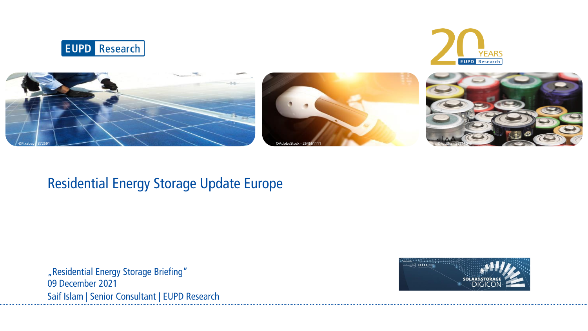





## Residential Energy Storage Update Europe

"Residential Energy Storage Briefing" 09 December 2021 Saif Islam | Senior Consultant | EUPD Research

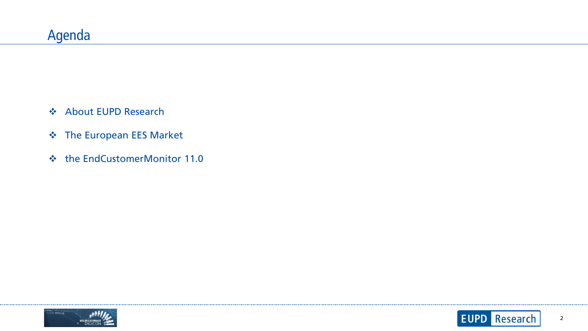- About EUPD Research
- $\div$  The European EES Market
- the EndCustomerMonitor 11.0





......................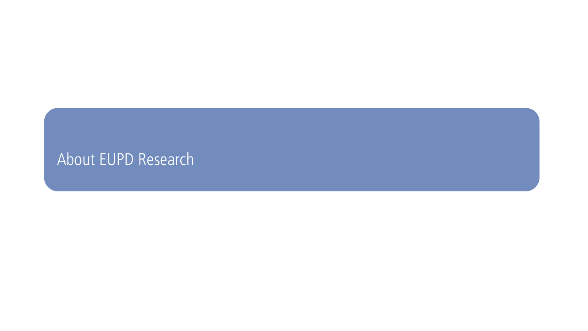## About EUPD Research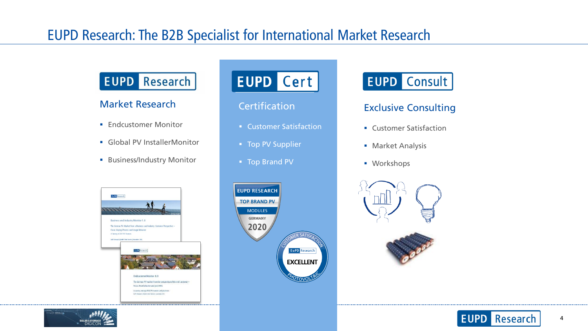## EUPD Research: The B2B Specialist for International Market Research

## **EUPD** Research

#### Market Research

- **Endcustomer Monitor**
- Global PV InstallerMonitor
- **Business/Industry Monitor**

## **EUPD Cert**

- **Customer Satisfaction**
- **Top PV Supplier**
- **Top Brand PV**



#### **Certification CERTIFIC CONSULTER CONSULTING**

- **EXECUTE: Customer Satisfaction**
- **Market Analysis**
- **Workshops**









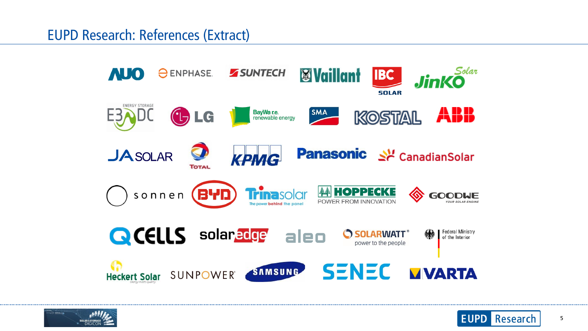EUPD Research: References (Extract)





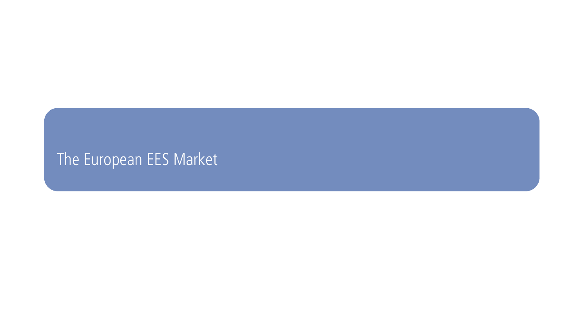# The European EES Market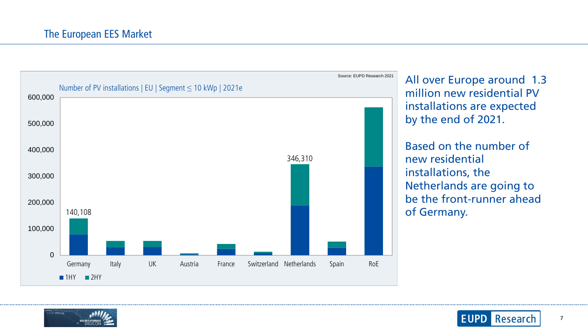

All over Europe around 1.3 million new residential PV installations are expected by the end of 2021.

Based on the number of new residential installations, the Netherlands are going to be the front-runner ahead of Germany.



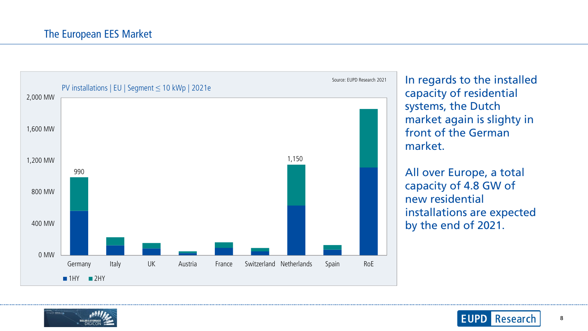

In regards to the installed capacity of residential systems, the Dutch market again is slighty in front of the German market.

All over Europe, a total capacity of 4.8 GW of new residential installations are expected by the end of 2021.





8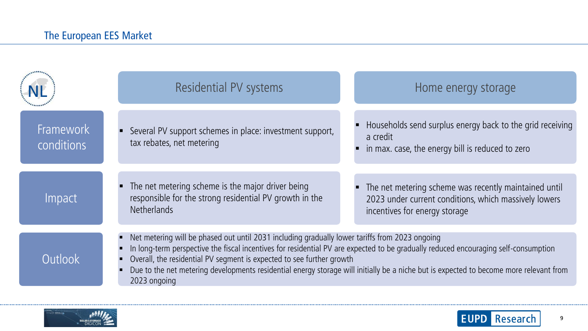|                                | Residential PV systems                                                                                                                                                                                                                                                                                                                                                                                                                                                   | Home energy storage                                                                                                                             |
|--------------------------------|--------------------------------------------------------------------------------------------------------------------------------------------------------------------------------------------------------------------------------------------------------------------------------------------------------------------------------------------------------------------------------------------------------------------------------------------------------------------------|-------------------------------------------------------------------------------------------------------------------------------------------------|
| <b>Framework</b><br>conditions | Several PV support schemes in place: investment support,<br>tax rebates, net metering                                                                                                                                                                                                                                                                                                                                                                                    | Households send surplus energy back to the grid receiving<br>a credit<br>in max. case, the energy bill is reduced to zero                       |
| Impact                         | The net metering scheme is the major driver being<br>responsible for the strong residential PV growth in the<br><b>Netherlands</b>                                                                                                                                                                                                                                                                                                                                       | The net metering scheme was recently maintained until<br>2023 under current conditions, which massively lowers<br>incentives for energy storage |
| Outlook                        | Net metering will be phased out until 2031 including gradually lower tariffs from 2023 ongoing<br>In long-term perspective the fiscal incentives for residential PV are expected to be gradually reduced encouraging self-consumption<br>Overall, the residential PV segment is expected to see further growth<br>Due to the net metering developments residential energy storage will initially be a niche but is expected to become more relevant from<br>2023 ongoing |                                                                                                                                                 |



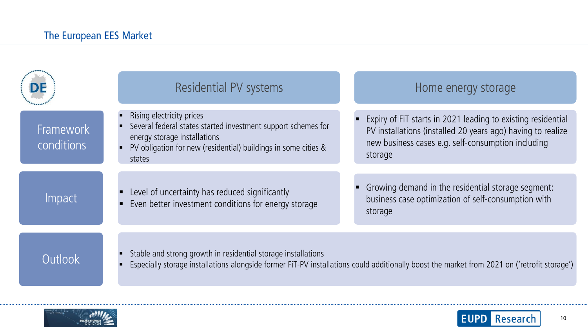|                                | <b>Residential PV systems</b>                                                                                                                                                                                 | Home energy storage                                                                                                                                                                          |
|--------------------------------|---------------------------------------------------------------------------------------------------------------------------------------------------------------------------------------------------------------|----------------------------------------------------------------------------------------------------------------------------------------------------------------------------------------------|
| <b>Framework</b><br>conditions | Rising electricity prices<br>Several federal states started investment support schemes for<br>energy storage installations<br>PV obligation for new (residential) buildings in some cities &<br>states        | Expiry of FIT starts in 2021 leading to existing residential<br>PV installations (installed 20 years ago) having to realize<br>new business cases e.g. self-consumption including<br>storage |
| Impact                         | Level of uncertainty has reduced significantly<br>Even better investment conditions for energy storage                                                                                                        | Growing demand in the residential storage segment:<br>business case optimization of self-consumption with<br>storage                                                                         |
| Outlook                        | Stable and strong growth in residential storage installations<br>Especially storage installations alongside former FiT-PV installations could additionally boost the market from 2021 on ('retrofit storage') |                                                                                                                                                                                              |



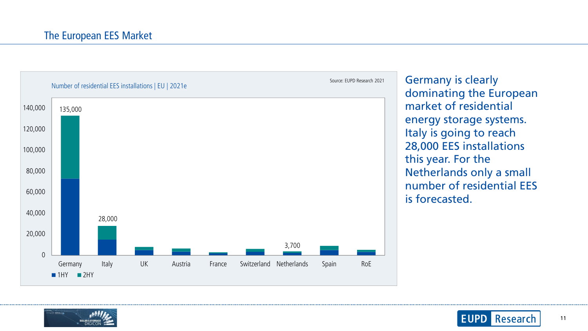

Germany is clearly dominating the European market of residential energy storage systems. Italy is going to reach 28,000 EES installations this year. For the Netherlands only a small number of residential EES is forecasted.



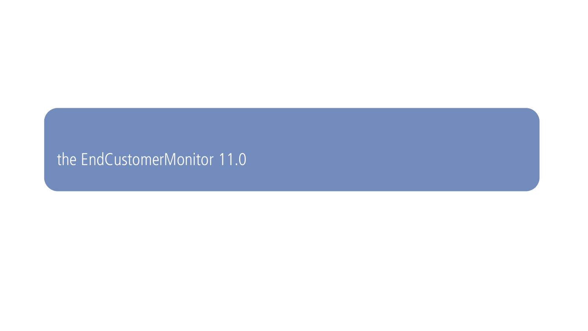## the EndCustomerMonitor 11.0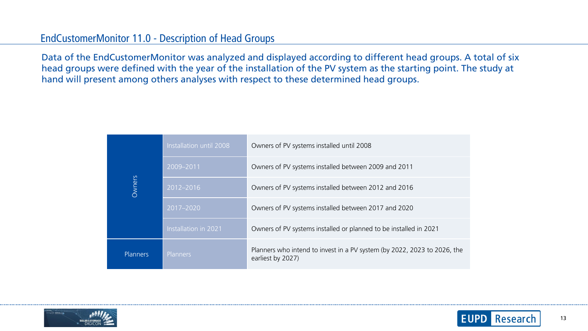#### EndCustomerMonitor 11.0 - Description of Head Groups

Data of the EndCustomerMonitor was analyzed and displayed according to different head groups. A total of six head groups were defined with the year of the installation of the PV system as the starting point. The study at hand will present among others analyses with respect to these determined head groups.

| Owners          | Installation until 2008 | Owners of PV systems installed until 2008                                                     |
|-----------------|-------------------------|-----------------------------------------------------------------------------------------------|
|                 | 2009-2011               | Owners of PV systems installed between 2009 and 2011                                          |
|                 | 2012-2016               | Owners of PV systems installed between 2012 and 2016                                          |
|                 | 2017-2020               | Owners of PV systems installed between 2017 and 2020                                          |
|                 | Installation in 2021    | Owners of PV systems installed or planned to be installed in 2021                             |
| <b>Planners</b> | Planners                | Planners who intend to invest in a PV system (by 2022, 2023 to 2026, the<br>earliest by 2027) |



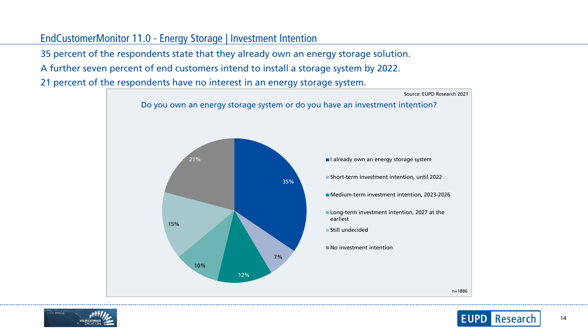### EndCustomerMonitor 11.0 - Energy Storage | Investment Intention

35 percent of the respondents state that they already own an energy storage solution.

• A further seven percent of end customers intend to install a storage system by 2022.

• 21 percent of the respondents have no interest in an energy storage system.





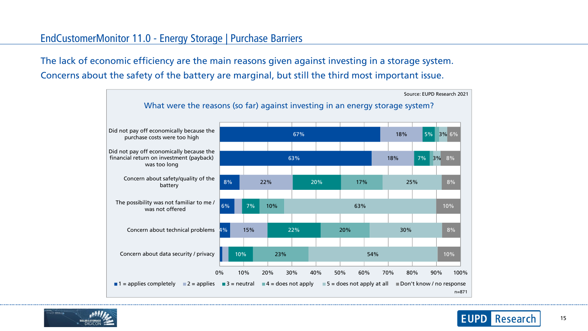#### EndCustomerMonitor 11.0 - Energy Storage | Purchase Barriers

The lack of economic efficiency are the main reasons given against investing in a storage system. • Concerns about the safety of the battery are marginal, but still the third most important issue.





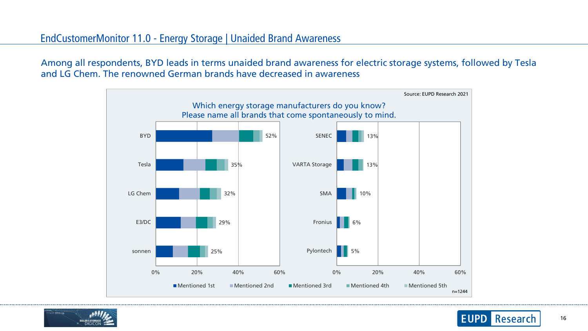#### EndCustomerMonitor 11.0 - Energy Storage | Unaided Brand Awareness

Among all respondents, BYD leads in terms unaided brand awareness for electric storage systems, followed by Tesla and LG Chem. The renowned German brands have decreased in awareness





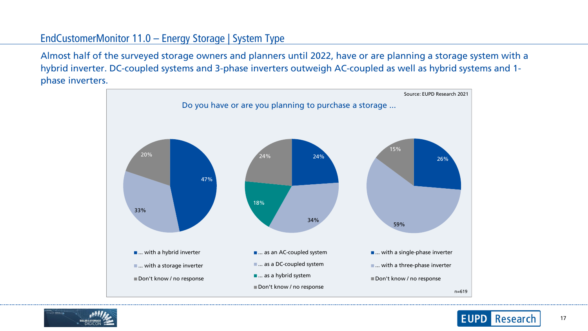## EndCustomerMonitor 11.0 – Energy Storage | System Type

• Almost half of the surveyed storage owners and planners until 2022, have or are planning a storage system with a hybrid inverter. DC-coupled systems and 3-phase inverters outweigh AC-coupled as well as hybrid systems and 1 phase inverters.



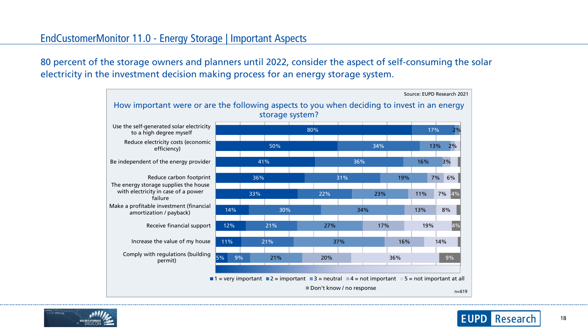## EndCustomerMonitor 11.0 - Energy Storage | Important Aspects

• 80 percent of the storage owners and planners until 2022, consider the aspect of self-consuming the solar electricity in the investment decision making process for an energy storage system.





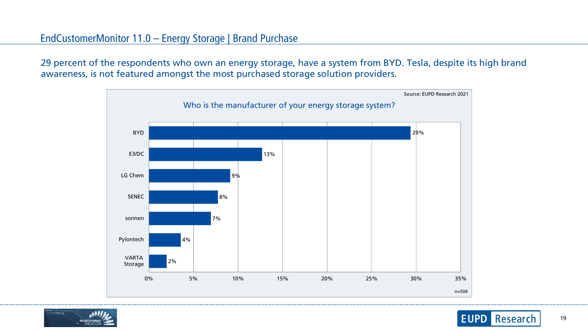#### EndCustomerMonitor 11.0 – Energy Storage | Brand Purchase

29 percent of the respondents who own an energy storage, have a system from BYD. Tesla, despite its high brand awareness, is not featured amongst the most purchased storage solution providers.





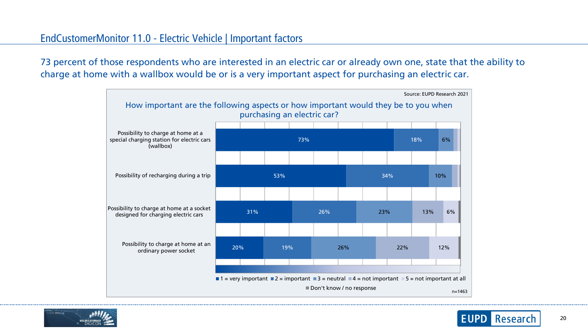## EndCustomerMonitor 11.0 - Electric Vehicle | Important factors

• 73 percent of those respondents who are interested in an electric car or already own one, state that the ability to charge at home with a wallbox would be or is a very important aspect for purchasing an electric car.





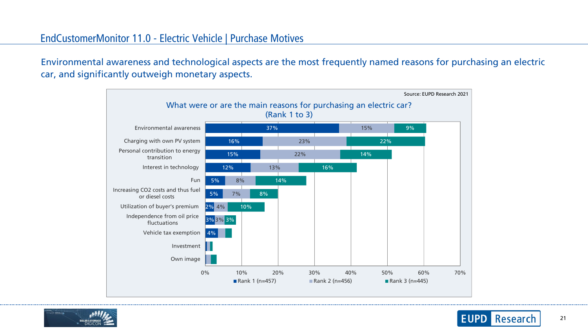#### EndCustomerMonitor 11.0 - Electric Vehicle | Purchase Motives

Environmental awareness and technological aspects are the most frequently named reasons for purchasing an electric car, and significantly outweigh monetary aspects.





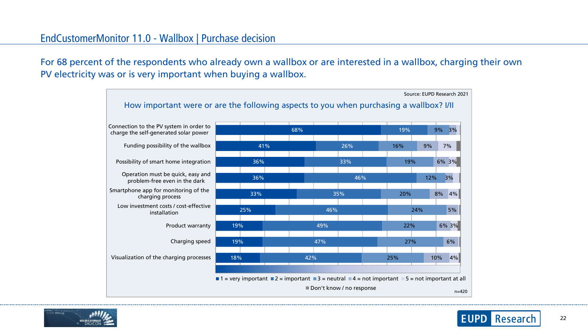#### EndCustomerMonitor 11.0 - Wallbox | Purchase decision

• For 68 percent of the respondents who already own a wallbox or are interested in a wallbox, charging their own PV electricity was or is very important when buying a wallbox.





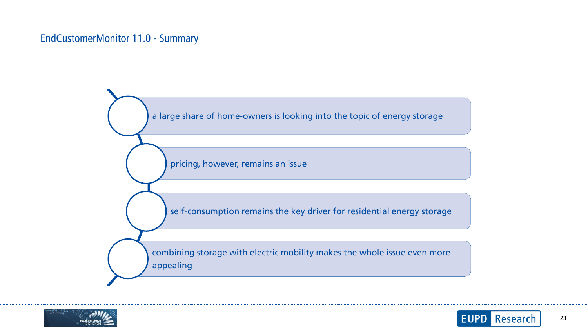#### EndCustomerMonitor 11.0 - Summary